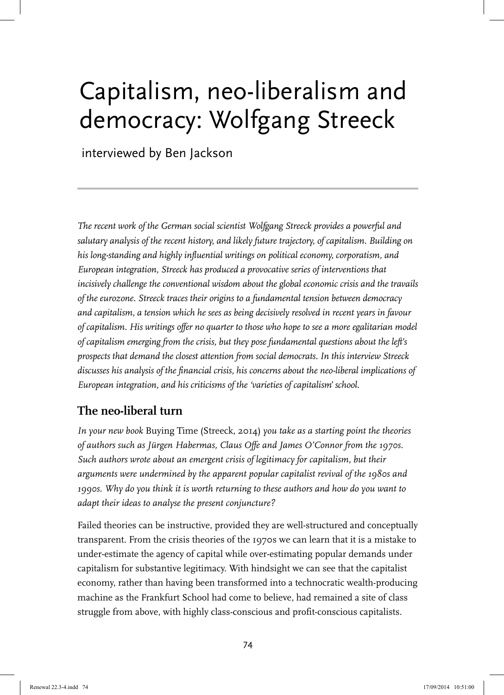# Capitalism, neo-liberalism and democracy: Wolfgang Streeck

interviewed by Ben Jackson

*The recent work of the German social scientist Wolfgang Streeck provides a powerful and salutary analysis of the recent history, and likely future trajectory, of capitalism. Building on his long-standing and highly influential writings on political economy, corporatism, and European integration, Streeck has produced a provocative series of interventions that incisively challenge the conventional wisdom about the global economic crisis and the travails of the eurozone. Streeck traces their origins to a fundamental tension between democracy and capitalism, a tension which he sees as being decisively resolved in recent years in favour of capitalism. His writings offer no quarter to those who hope to see a more egalitarian model of capitalism emerging from the crisis, but they pose fundamental questions about the left's prospects that demand the closest attention from social democrats. In this interview Streeck discusses his analysis of the financial crisis, his concerns about the neo-liberal implications of European integration, and his criticisms of the 'varieties of capitalism' school.* 

# **The neo-liberal turn**

*In your new book* Buying Time (Streeck, 2014) *you take as a starting point the theories of authors such as Jürgen Habermas, Claus Offe and James O'Connor from the 1970s. Such authors wrote about an emergent crisis of legitimacy for capitalism, but their arguments were undermined by the apparent popular capitalist revival of the 1980s and 1990s. Why do you think it is worth returning to these authors and how do you want to adapt their ideas to analyse the present conjuncture?*

Failed theories can be instructive, provided they are well-structured and conceptually transparent. From the crisis theories of the 1970s we can learn that it is a mistake to under-estimate the agency of capital while over-estimating popular demands under capitalism for substantive legitimacy. With hindsight we can see that the capitalist economy, rather than having been transformed into a technocratic wealth-producing machine as the Frankfurt School had come to believe, had remained a site of class struggle from above, with highly class-conscious and profit-conscious capitalists.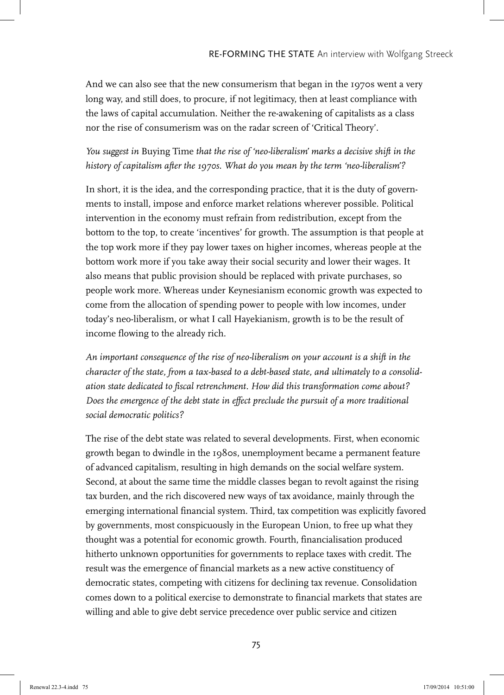And we can also see that the new consumerism that began in the 1970s went a very long way, and still does, to procure, if not legitimacy, then at least compliance with the laws of capital accumulation. Neither the re-awakening of capitalists as a class nor the rise of consumerism was on the radar screen of 'Critical Theory'.

#### *You suggest in* Buying Time *that the rise of 'neo-liberalism' marks a decisive shift in the history of capitalism after the 1970s. What do you mean by the term 'neo-liberalism'?*

In short, it is the idea, and the corresponding practice, that it is the duty of governments to install, impose and enforce market relations wherever possible. Political intervention in the economy must refrain from redistribution, except from the bottom to the top, to create 'incentives' for growth. The assumption is that people at the top work more if they pay lower taxes on higher incomes, whereas people at the bottom work more if you take away their social security and lower their wages. It also means that public provision should be replaced with private purchases, so people work more. Whereas under Keynesianism economic growth was expected to come from the allocation of spending power to people with low incomes, under today's neo-liberalism, or what I call Hayekianism, growth is to be the result of income flowing to the already rich.

*An important consequence of the rise of neo-liberalism on your account is a shift in the character of the state, from a tax-based to a debt-based state, and ultimately to a consolidation state dedicated to fiscal retrenchment. How did this transformation come about? Does the emergence of the debt state in effect preclude the pursuit of a more traditional social democratic politics?*

The rise of the debt state was related to several developments. First, when economic growth began to dwindle in the 1980s, unemployment became a permanent feature of advanced capitalism, resulting in high demands on the social welfare system. Second, at about the same time the middle classes began to revolt against the rising tax burden, and the rich discovered new ways of tax avoidance, mainly through the emerging international financial system. Third, tax competition was explicitly favored by governments, most conspicuously in the European Union, to free up what they thought was a potential for economic growth. Fourth, financialisation produced hitherto unknown opportunities for governments to replace taxes with credit. The result was the emergence of financial markets as a new active constituency of democratic states, competing with citizens for declining tax revenue. Consolidation comes down to a political exercise to demonstrate to financial markets that states are willing and able to give debt service precedence over public service and citizen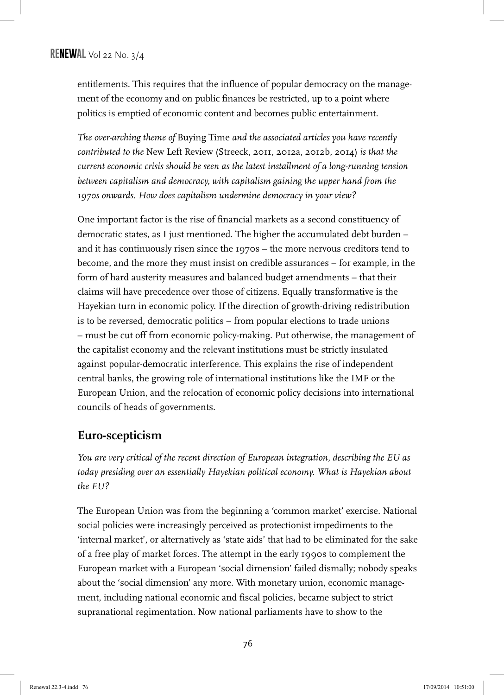entitlements. This requires that the influence of popular democracy on the management of the economy and on public finances be restricted, up to a point where politics is emptied of economic content and becomes public entertainment.

*The over-arching theme of* Buying Time *and the associated articles you have recently contributed to the* New Left Review (Streeck, 2011, 2012a, 2012b, 2014) *is that the current economic crisis should be seen as the latest installment of a long-running tension between capitalism and democracy, with capitalism gaining the upper hand from the 1970s onwards. How does capitalism undermine democracy in your view?* 

One important factor is the rise of financial markets as a second constituency of democratic states, as I just mentioned. The higher the accumulated debt burden – and it has continuously risen since the 1970s – the more nervous creditors tend to become, and the more they must insist on credible assurances – for example, in the form of hard austerity measures and balanced budget amendments – that their claims will have precedence over those of citizens. Equally transformative is the Hayekian turn in economic policy. If the direction of growth-driving redistribution is to be reversed, democratic politics – from popular elections to trade unions – must be cut off from economic policy-making. Put otherwise, the management of the capitalist economy and the relevant institutions must be strictly insulated against popular-democratic interference. This explains the rise of independent central banks, the growing role of international institutions like the IMF or the European Union, and the relocation of economic policy decisions into international councils of heads of governments.

#### **Euro-scepticism**

*You are very critical of the recent direction of European integration, describing the EU as today presiding over an essentially Hayekian political economy. What is Hayekian about the EU?*

The European Union was from the beginning a 'common market' exercise. National social policies were increasingly perceived as protectionist impediments to the 'internal market', or alternatively as 'state aids' that had to be eliminated for the sake of a free play of market forces. The attempt in the early 1990s to complement the European market with a European 'social dimension' failed dismally; nobody speaks about the 'social dimension' any more. With monetary union, economic management, including national economic and fiscal policies, became subject to strict supranational regimentation. Now national parliaments have to show to the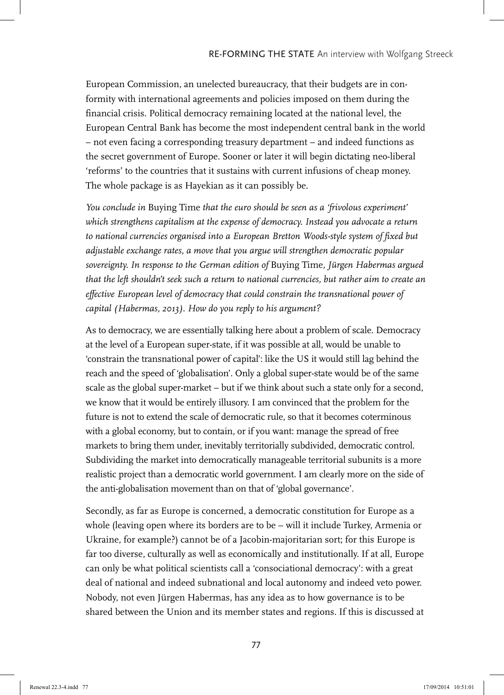European Commission, an unelected bureaucracy, that their budgets are in conformity with international agreements and policies imposed on them during the financial crisis. Political democracy remaining located at the national level, the European Central Bank has become the most independent central bank in the world – not even facing a corresponding treasury department – and indeed functions as the secret government of Europe. Sooner or later it will begin dictating neo-liberal 'reforms' to the countries that it sustains with current infusions of cheap money. The whole package is as Hayekian as it can possibly be.

*You conclude in* Buying Time *that the euro should be seen as a 'frivolous experiment' which strengthens capitalism at the expense of democracy. Instead you advocate a return to national currencies organised into a European Bretton Woods-style system of fixed but adjustable exchange rates, a move that you argue will strengthen democratic popular sovereignty. In response to the German edition of* Buying Time*, Jürgen Habermas argued that the left shouldn't seek such a return to national currencies, but rather aim to create an effective European level of democracy that could constrain the transnational power of capital (Habermas, 2013). How do you reply to his argument?*

As to democracy, we are essentially talking here about a problem of scale. Democracy at the level of a European super-state, if it was possible at all, would be unable to 'constrain the transnational power of capital': like the US it would still lag behind the reach and the speed of 'globalisation'. Only a global super-state would be of the same scale as the global super-market – but if we think about such a state only for a second, we know that it would be entirely illusory. I am convinced that the problem for the future is not to extend the scale of democratic rule, so that it becomes coterminous with a global economy, but to contain, or if you want: manage the spread of free markets to bring them under, inevitably territorially subdivided, democratic control. Subdividing the market into democratically manageable territorial subunits is a more realistic project than a democratic world government. I am clearly more on the side of the anti-globalisation movement than on that of 'global governance'.

Secondly, as far as Europe is concerned, a democratic constitution for Europe as a whole (leaving open where its borders are to be – will it include Turkey, Armenia or Ukraine, for example?) cannot be of a Jacobin-majoritarian sort; for this Europe is far too diverse, culturally as well as economically and institutionally. If at all, Europe can only be what political scientists call a 'consociational democracy': with a great deal of national and indeed subnational and local autonomy and indeed veto power. Nobody, not even Jürgen Habermas, has any idea as to how governance is to be shared between the Union and its member states and regions. If this is discussed at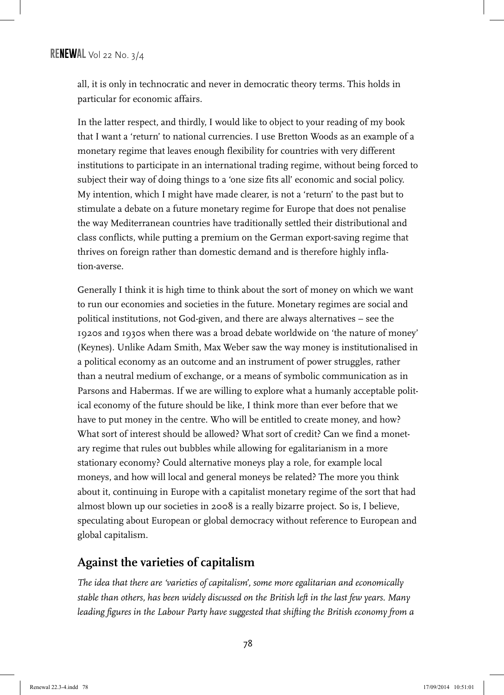all, it is only in technocratic and never in democratic theory terms. This holds in particular for economic affairs.

In the latter respect, and thirdly, I would like to object to your reading of my book that I want a 'return' to national currencies. I use Bretton Woods as an example of a monetary regime that leaves enough flexibility for countries with very different institutions to participate in an international trading regime, without being forced to subject their way of doing things to a 'one size fits all' economic and social policy. My intention, which I might have made clearer, is not a 'return' to the past but to stimulate a debate on a future monetary regime for Europe that does not penalise the way Mediterranean countries have traditionally settled their distributional and class conflicts, while putting a premium on the German export-saving regime that thrives on foreign rather than domestic demand and is therefore highly inflation-averse.

Generally I think it is high time to think about the sort of money on which we want to run our economies and societies in the future. Monetary regimes are social and political institutions, not God-given, and there are always alternatives – see the 1920s and 1930s when there was a broad debate worldwide on 'the nature of money' (Keynes). Unlike Adam Smith, Max Weber saw the way money is institutionalised in a political economy as an outcome and an instrument of power struggles, rather than a neutral medium of exchange, or a means of symbolic communication as in Parsons and Habermas. If we are willing to explore what a humanly acceptable political economy of the future should be like, I think more than ever before that we have to put money in the centre. Who will be entitled to create money, and how? What sort of interest should be allowed? What sort of credit? Can we find a monetary regime that rules out bubbles while allowing for egalitarianism in a more stationary economy? Could alternative moneys play a role, for example local moneys, and how will local and general moneys be related? The more you think about it, continuing in Europe with a capitalist monetary regime of the sort that had almost blown up our societies in 2008 is a really bizarre project. So is, I believe, speculating about European or global democracy without reference to European and global capitalism.

## **Against the varieties of capitalism**

*The idea that there are 'varieties of capitalism', some more egalitarian and economically stable than others, has been widely discussed on the British left in the last few years. Many leading figures in the Labour Party have suggested that shifting the British economy from a*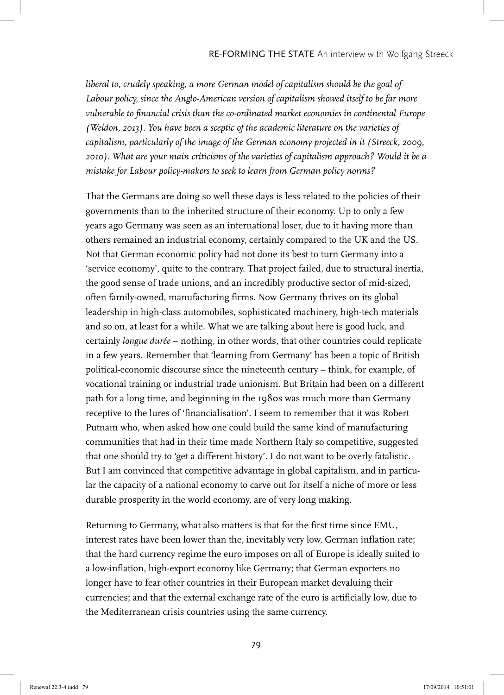*liberal to, crudely speaking, a more German model of capitalism should be the goal of*  Labour policy, since the Anglo-American version of capitalism showed itself to be far more *vulnerable to financial crisis than the co-ordinated market economies in continental Europe (Weldon, 2013). You have been a sceptic of the academic literature on the varieties of capitalism, particularly of the image of the German economy projected in it (Streeck, 2009, 2010). What are your main criticisms of the varieties of capitalism approach? Would it be a mistake for Labour policy-makers to seek to learn from German policy norms?*

That the Germans are doing so well these days is less related to the policies of their governments than to the inherited structure of their economy. Up to only a few years ago Germany was seen as an international loser, due to it having more than others remained an industrial economy, certainly compared to the UK and the US. Not that German economic policy had not done its best to turn Germany into a 'service economy', quite to the contrary. That project failed, due to structural inertia, the good sense of trade unions, and an incredibly productive sector of mid-sized, often family-owned, manufacturing firms. Now Germany thrives on its global leadership in high-class automobiles, sophisticated machinery, high-tech materials and so on, at least for a while. What we are talking about here is good luck, and certainly *longue durée* – nothing, in other words, that other countries could replicate in a few years. Remember that 'learning from Germany' has been a topic of British political-economic discourse since the nineteenth century – think, for example, of vocational training or industrial trade unionism. But Britain had been on a different path for a long time, and beginning in the 1980s was much more than Germany receptive to the lures of 'financialisation'. I seem to remember that it was Robert Putnam who, when asked how one could build the same kind of manufacturing communities that had in their time made Northern Italy so competitive, suggested that one should try to 'get a different history'. I do not want to be overly fatalistic. But I am convinced that competitive advantage in global capitalism, and in particular the capacity of a national economy to carve out for itself a niche of more or less durable prosperity in the world economy, are of very long making.

Returning to Germany, what also matters is that for the first time since EMU, interest rates have been lower than the, inevitably very low, German inflation rate; that the hard currency regime the euro imposes on all of Europe is ideally suited to a low-inflation, high-export economy like Germany; that German exporters no longer have to fear other countries in their European market devaluing their currencies; and that the external exchange rate of the euro is artificially low, due to the Mediterranean crisis countries using the same currency.